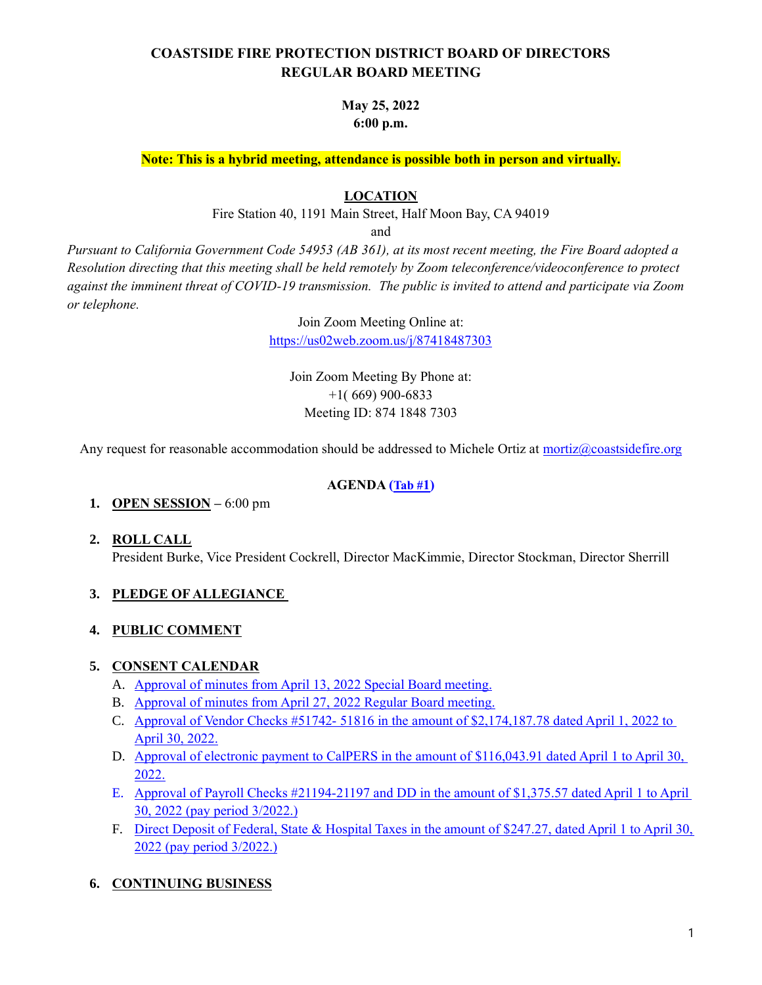# **COASTSIDE FIRE PROTECTION DISTRICT BOARD OF DIRECTORS REGULAR BOARD MEETING**

## **May 25, 2022 6:00 p.m.**

**Note: This is a hybrid meeting, attendance is possible both in person and virtually.**

#### **LOCATION**

Fire Station 40, 1191 Main Street, Half Moon Bay, CA 94019

and

*Pursuant to California Government Code 54953 (AB 361), at its most recent meeting, the Fire Board adopted a Resolution directing that this meeting shall be held remotely by Zoom teleconference/videoconference to protect against the imminent threat of COVID-19 transmission. The public is invited to attend and participate via Zoom or telephone.*

Join Zoom Meeting Online at:

<https://us02web.zoom.us/j/87418487303>

Join Zoom Meeting By Phone at: +1( 669) 900-6833 Meeting ID: 874 1848 7303

Any request for reasonable accommodation should be addressed to Michele Ortiz at [mortiz@coastsidefire.org](mailto:mortiz@coastsidefire.org)

#### **AGENDA ([Tab #](https://www.coastsidefire.org/files/6e4691efb/052522+tab+1+Agenda.+-+signed.pdf)1)**

#### **1. OPEN SESSION –** 6:00 pm

**2. ROLL CALL** President Burke, Vice President Cockrell, Director MacKimmie, Director Stockman, Director Sherrill

### **3. PLEDGE OF ALLEGIANCE**

#### **4. PUBLIC COMMENT**

#### **5. CONSENT CALENDAR**

- A. [Approval of minutes from](https://www.coastsidefire.org/files/1823441c9/052522+tab+1+04132022.Special+meeting.pdf) April 13, 2022 Special Board meeting.
- B. [Approval of minutes from April 27, 2022 Regular Board meeting.](https://www.coastsidefire.org/files/834ac0d5c/052522+tab+1+042722.regular+meeting.pdf)
- C. [Approval of Vendor Checks #51742-](https://www.coastsidefire.org/files/4482f2e1b/052522+tab+1+April+2022+AP+Check+Report+-+7949.pdf) 51816 in the amount of \$2,174,187.78 dated April 1, 2022 to April [30, 2022.](https://www.coastsidefire.org/files/4482f2e1b/052522+tab+1+April+2022+AP+Check+Report+-+7949.pdf)
- D. [Approval of electronic payment to CalPERS in the amount of \\$116,043.91 dated April](https://www.coastsidefire.org/files/74247718d/052522+tab+1+April+2022+payment+CalPERS+EFT.pdf) 1 to April 30, [2022.](https://www.coastsidefire.org/files/74247718d/052522+tab+1+April+2022+payment+CalPERS+EFT.pdf)
- E. [Approval of Payroll Checks #21194-21197](https://www.coastsidefire.org/files/815f3f4f4/052522+tab+1+Pay+period+3%3A22+check+date+April+8.2022+Payroll+Summary.pdf) and DD in the amount of \$1,375.57 dated April 1 to April [30, 2022 \(pay period 3/2022.\)](https://www.coastsidefire.org/files/815f3f4f4/052522+tab+1+Pay+period+3%3A22+check+date+April+8.2022+Payroll+Summary.pdf)
- F. [Direct Deposit of Federal, State & Hospital Taxes in the amount of \\$247.27, dated April](https://www.coastsidefire.org/files/815f3f4f4/052522+tab+1+Pay+period+3%3A22+check+date+April+8.2022+Payroll+Summary.pdf) 1 to April 30, 2022 [\(pay period 3/2022.\)](https://www.coastsidefire.org/files/815f3f4f4/052522+tab+1+Pay+period+3%3A22+check+date+April+8.2022+Payroll+Summary.pdf)

### **6. CONTINUING BUSINESS**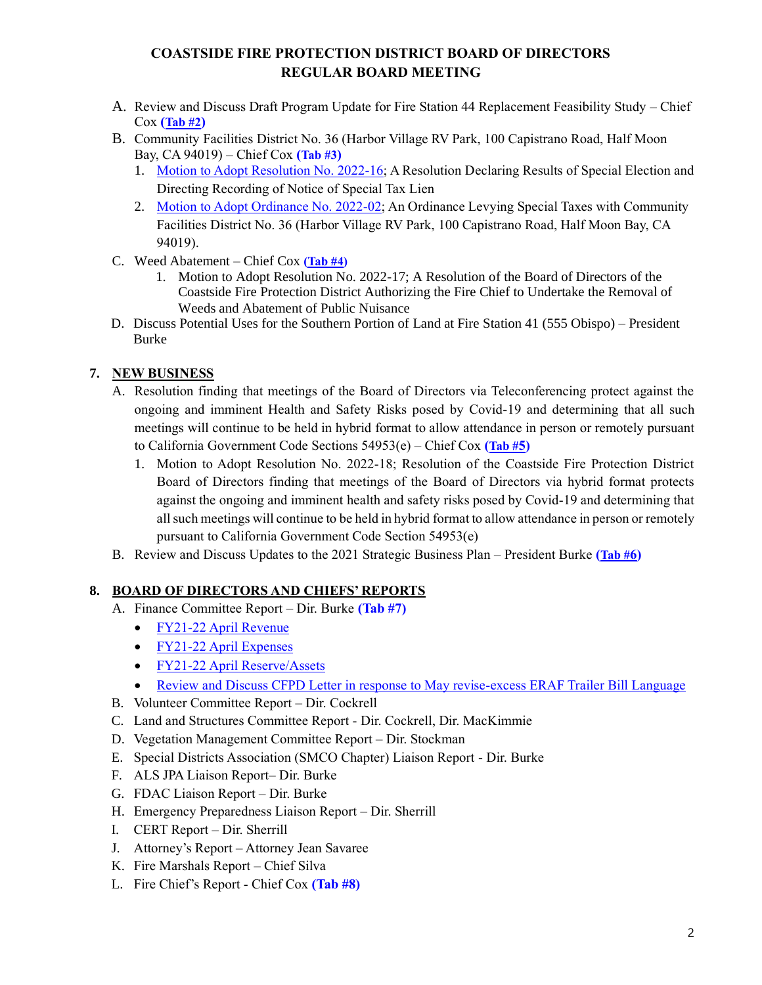# **COASTSIDE FIRE PROTECTION DISTRICT BOARD OF DIRECTORS REGULAR BOARD MEETING**

- A. Review and Discuss Draft Program Update for Fire Station 44 Replacement Feasibility Study Chief Cox **([Tab #2](https://www.coastsidefire.org/files/c599708c3/042722+tab+xx+Coastside+Fire+%2344_Draft+Program+Update.pdf))**
- B. Community Facilities District No. 36 (Harbor Village RV Park, 100 Capistrano Road, Half Moon Bay, CA 94019) – Chief Cox **(Tab #3)**
	- 1. [Motion to Adopt Resolution No. 2022-16;](https://www.coastsidefire.org/files/1deddba65/052522+tab+3+Res+2022-16+CFD+36+Declaring+Results+of+Special+Election.pdf) A Resolution Declaring Results of Special Election and Directing Recording of Notice of Special Tax Lien
	- 2. [Motion to Adopt Ordinance No. 2022-02;](https://www.coastsidefire.org/files/3c0d15158/052522+tab+3+Ordinance+2022-02+Levying+Special+Tax.pdf) An Ordinance Levying Special Taxes with Community Facilities District No. 36 (Harbor Village RV Park, 100 Capistrano Road, Half Moon Bay, CA 94019).
- C. Weed Abatement Chief Cox **[\(Tab #4\)](https://www.coastsidefire.org/files/b2e02e6b9/052522+Tab+4+Res+2022-17+Authorizing+Removal+of+Weeds.pdf)**
	- 1. Motion to Adopt Resolution No. 2022-17; A Resolution of the Board of Directors of the Coastside Fire Protection District Authorizing the Fire Chief to Undertake the Removal of Weeds and Abatement of Public Nuisance
- D. Discuss Potential Uses for the Southern Portion of Land at Fire Station 41 (555 Obispo) President Burke

## **7. NEW BUSINESS**

- A. Resolution finding that meetings of the Board of Directors via Teleconferencing protect against the ongoing and imminent Health and Safety Risks posed by Covid-19 and determining that all such meetings will continue to be held in hybrid format to allow attendance in person or remotely pursuant to California Government Code Sections 54953(e) – Chief Cox **([Tab #](https://www.coastsidefire.org/files/f9602befc/052522+tab+5+Res+2022-18+Teleconference_Hybrid+format+BOD+meetins+May+25+AB361.pdf)5)**
	- 1. Motion to Adopt Resolution No. 2022-18; Resolution of the Coastside Fire Protection District Board of Directors finding that meetings of the Board of Directors via hybrid format protects against the ongoing and imminent health and safety risks posed by Covid-19 and determining that all such meetings will continue to be held in hybrid format to allow attendance in person or remotely pursuant to California Government Code Section 54953(e)
- B. Review and Discuss Updates to the 2021 Strategic Business Plan President Burke **([Tab #](https://www.coastsidefire.org/files/7e774fd19/052522+tab+6+2021+Strategic+Business+Plan.pdf)6)**

### **8. BOARD OF DIRECTORS AND CHIEFS' REPORTS**

- A. Finance Committee Report Dir. Burke **(Tab #7)**
	- [FY21-22](https://www.coastsidefire.org/files/c4c505e27/052522+Tab+7+2122+April+Rev-Coastside.pdf) April Revenue
	- FY21-22 [April Expenses](https://www.coastsidefire.org/files/b20f07b94/052522+Tab+7+2122+April+Expense-Coastside.pdf)
	- FY21-22 April [Reserve/Assets](https://www.coastsidefire.org/files/6bc577612/052522+Tab+7+2122+April+ResAssets-Coastside..pdf)
	- [Review and Discuss CFPD Letter in response to May revise-excess ERAF Trailer Bill Language](https://www.coastsidefire.org/files/5ae21c5ca/052522+tab+7+ERAF+Coastside+Fire+District+Letter-signed.pdf)
- B. Volunteer Committee Report Dir. Cockrell
- C. Land and Structures Committee Report Dir. Cockrell, Dir. MacKimmie
- D. Vegetation Management Committee Report Dir. Stockman
- E. Special Districts Association (SMCO Chapter) Liaison Report Dir. Burke
- F. ALS JPA Liaison Report– Dir. Burke
- G. FDAC Liaison Report Dir. Burke
- H. Emergency Preparedness Liaison Report Dir. Sherrill
- I. CERT Report Dir. Sherrill
- J. Attorney's Report Attorney Jean Savaree
- K. Fire Marshals Report Chief Silva
- L. Fire Chief's Report Chief Cox **(Tab #8)**